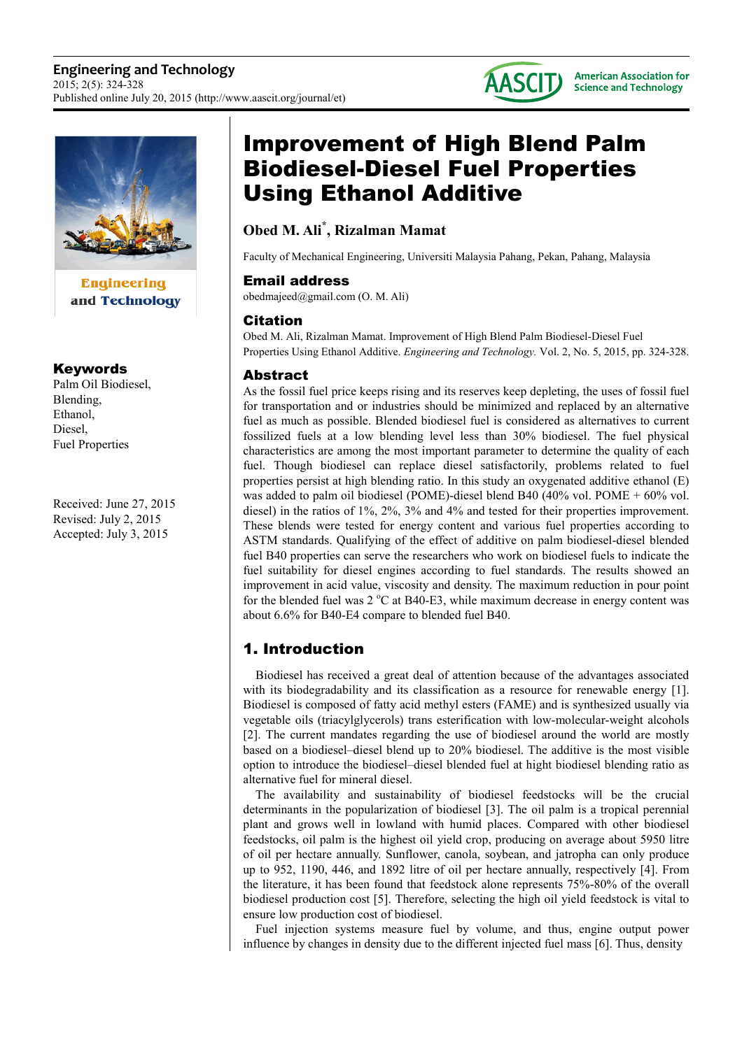



**Engineering** and Technology

# Keywords

Palm Oil Biodiesel, Blending, Ethanol, Diesel, Fuel Properties

Received: June 27, 2015 Revised: July 2, 2015 Accepted: July 3, 2015

# Improvement of High Blend Palm Biodiesel-Diesel Fuel Properties Using Ethanol Additive

# **Obed M. Ali\* , Rizalman Mamat**

Faculty of Mechanical Engineering, Universiti Malaysia Pahang, Pekan, Pahang, Malaysia

# Email address

obedmajeed@gmail.com (O. M. Ali)

# Citation

Obed M. Ali, Rizalman Mamat. Improvement of High Blend Palm Biodiesel-Diesel Fuel Properties Using Ethanol Additive. *Engineering and Technology.* Vol. 2, No. 5, 2015, pp. 324-328.

# Abstract

As the fossil fuel price keeps rising and its reserves keep depleting, the uses of fossil fuel for transportation and or industries should be minimized and replaced by an alternative fuel as much as possible. Blended biodiesel fuel is considered as alternatives to current fossilized fuels at a low blending level less than 30% biodiesel. The fuel physical characteristics are among the most important parameter to determine the quality of each fuel. Though biodiesel can replace diesel satisfactorily, problems related to fuel properties persist at high blending ratio. In this study an oxygenated additive ethanol (E) was added to palm oil biodiesel (POME)-diesel blend B40 (40% vol. POME + 60% vol. diesel) in the ratios of 1%, 2%, 3% and 4% and tested for their properties improvement. These blends were tested for energy content and various fuel properties according to ASTM standards. Qualifying of the effect of additive on palm biodiesel-diesel blended fuel B40 properties can serve the researchers who work on biodiesel fuels to indicate the fuel suitability for diesel engines according to fuel standards. The results showed an improvement in acid value, viscosity and density. The maximum reduction in pour point for the blended fuel was  $2 \degree C$  at B40-E3, while maximum decrease in energy content was about 6.6% for B40-E4 compare to blended fuel B40.

# 1. Introduction

Biodiesel has received a great deal of attention because of the advantages associated with its biodegradability and its classification as a resource for renewable energy [1]. Biodiesel is composed of fatty acid methyl esters (FAME) and is synthesized usually via vegetable oils (triacylglycerols) trans esterification with low-molecular-weight alcohols [2]. The current mandates regarding the use of biodiesel around the world are mostly based on a biodiesel–diesel blend up to 20% biodiesel. The additive is the most visible option to introduce the biodiesel–diesel blended fuel at hight biodiesel blending ratio as alternative fuel for mineral diesel.

The availability and sustainability of biodiesel feedstocks will be the crucial determinants in the popularization of biodiesel [3]. The oil palm is a tropical perennial plant and grows well in lowland with humid places. Compared with other biodiesel feedstocks, oil palm is the highest oil yield crop, producing on average about 5950 litre of oil per hectare annually. Sunflower, canola, soybean, and jatropha can only produce up to 952, 1190, 446, and 1892 litre of oil per hectare annually, respectively [4]. From the literature, it has been found that feedstock alone represents 75%-80% of the overall biodiesel production cost [5]. Therefore, selecting the high oil yield feedstock is vital to ensure low production cost of biodiesel.

Fuel injection systems measure fuel by volume, and thus, engine output power influence by changes in density due to the different injected fuel mass [6]. Thus, density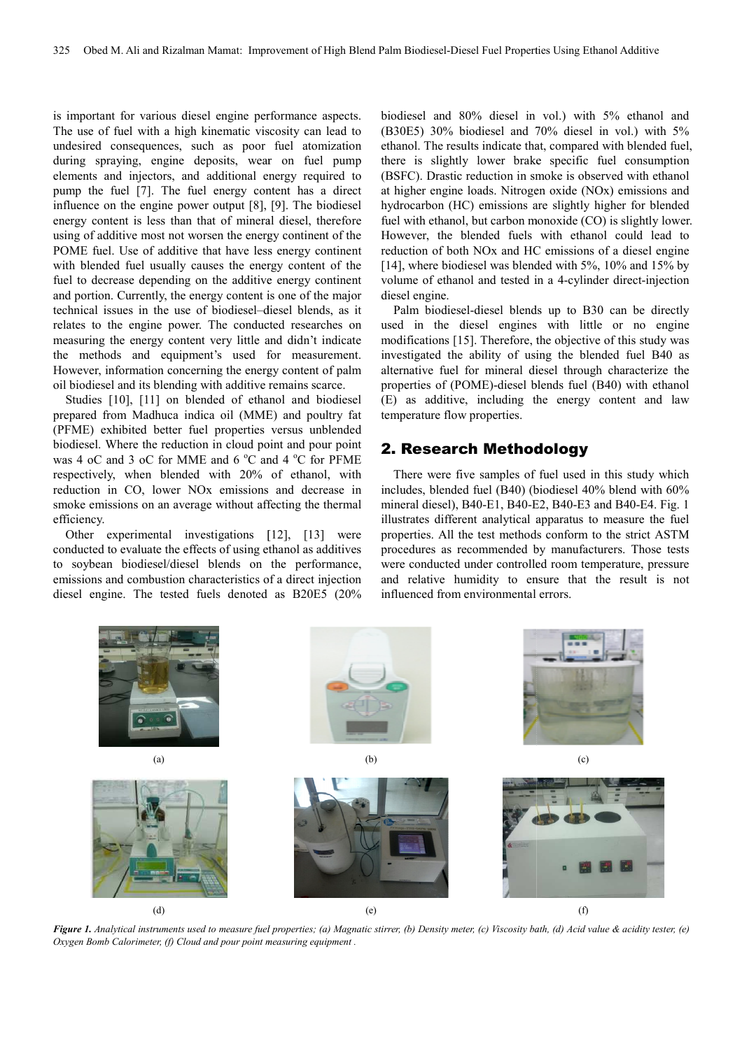is important for various diesel engine performance aspects. The use of fuel with a high kinematic viscosity can lead to undesired consequences, such as poor fuel atomization during spraying, engine deposits, wear on fuel pump elements and injectors, and additional energy required to pump the fuel [7]. The fuel energy content has a direct pump the fuel [7]. The fuel energy content has a direct influence on the engine power output [8], [9]. The biodiesel energy content is less than that of mineral diesel, therefore using of additive most not worsen the energy continent of the POME fuel. Use of additive that have less energy continent with blended fuel usually causes the energy content of the fuel to decrease depending on the additive energy continent and portion. Currently, the energy content is one of the major technical issues in the use of biodiesel–diesel blends, as it relates to the engine power. The conducted researches on measuring the energy content very little and didn't indicate the methods and equipment's used for measurement. However, information concerning the energy content of palm oil biodiesel and its blending with additive remains scarce. e of biodiesel-diesel blends, as it<br>ver. The conducted researches on<br>tent very little and didn't indicate<br>oment's used for measurement.<br>cerning the energy content of palm<br>ng with additive remains scarce.<br>blended of ethanol

Studies [10], [11] on blended of ethanol and biodiesel prepared from Madhuca indica oil (MME) and poultry fat (PFME) exhibited better fuel properties versus unblended biodiesel. Where the reduction in cloud point an was 4 oC and 3 oC for MME and 6 °C and 4 °C for PFME respectively, when blended with 20% of ethanol, with reduction in CO, lower NOx emissions and decrease in smoke emissions on an average without affecting the thermal efficiency.

Other experimental investigations [12], [13] [13] were conducted to evaluate the effects of using ethanol as additives to soybean biodiesel/diesel blends on the performance, emissions and combustion characteristics of a direct injection diesel engine. The tested fuels denoted as B20E5 (20%

biodiesel and 80% diesel in vol.) with 5% ethanol and (B30E5) 30% biodiesel and 70% diesel in vol.) with 5% ethanol. The results indicate that, compared with blended fuel, there is slightly lower brake specific fuel consumption (BSFC). Drastic reduction in smoke is observed with ethanol at higher engine loads. Nitrogen oxide (NOx) emissions and hydrocarbon (HC) emissions are slightly higher for blended fuel with ethanol, but carbon monoxide (CO) is slightly lower. However, the blended fuels with ethanol could lead to reduction of both NOx and HC emissions of a diesel engine [14], where biodiesel was blended with 5%, 10% and 15% by [14], where biodiesel was blended with 5%, 10% and 15% by volume of ethanol and tested in a 4-cylinder direct-injection diesel engine. sults indicate that, compared with blended fuel,<br>tly lower brake specific fuel consumption<br>c reduction in smoke is observed with ethanol<br>le loads. Nitrogen oxide (NOx) emissions and<br>HC) emissions are slightly higher for bl

Palm biodiesel-diesel blends up to B30 can be directly used in the diesel engines with little or no engine modifications [15]. Therefore, the objective of this study was investigated the ability of using the blended fuel B40 as alternative fuel for mineral diesel through characterize the properties of (POME)-diesel blends fuel (B40) with ethanol (E) as additive, including the energy content and law temperature flow properties. Therefore, the objective of this study was<br>bility of using the blended fuel B40 as<br>r mineral diesel through characterize the<br>ME)-diesel blends fuel (B40) with ethanol

### 2. Research Methodology

There were five samples of fuel used in this study which includes, blended fuel (B40) (biodiesel 40% blend with 60% mineral diesel), B40-E1, B40-E E2, B40-E3 and B40-E4. Fig. 1 illustrates different analytical apparatus to measure the fuel properties. All the test methods conform to the strict ASTM procedures as recommended by manufacturers. Those tests were conducted under controlled room temperature, pressure and relative humidity to ensure that the result is not influenced from environmental errors.



Figure 1. Analytical instruments used to measure fuel properties; (a) Magnatic stirrer, (b) Density meter, (c) Viscosity bath, (d) Acid value & acidity tester, (e) Oxygen Bomb Calorimeter, (f) Cloud and pour point measuring equipment.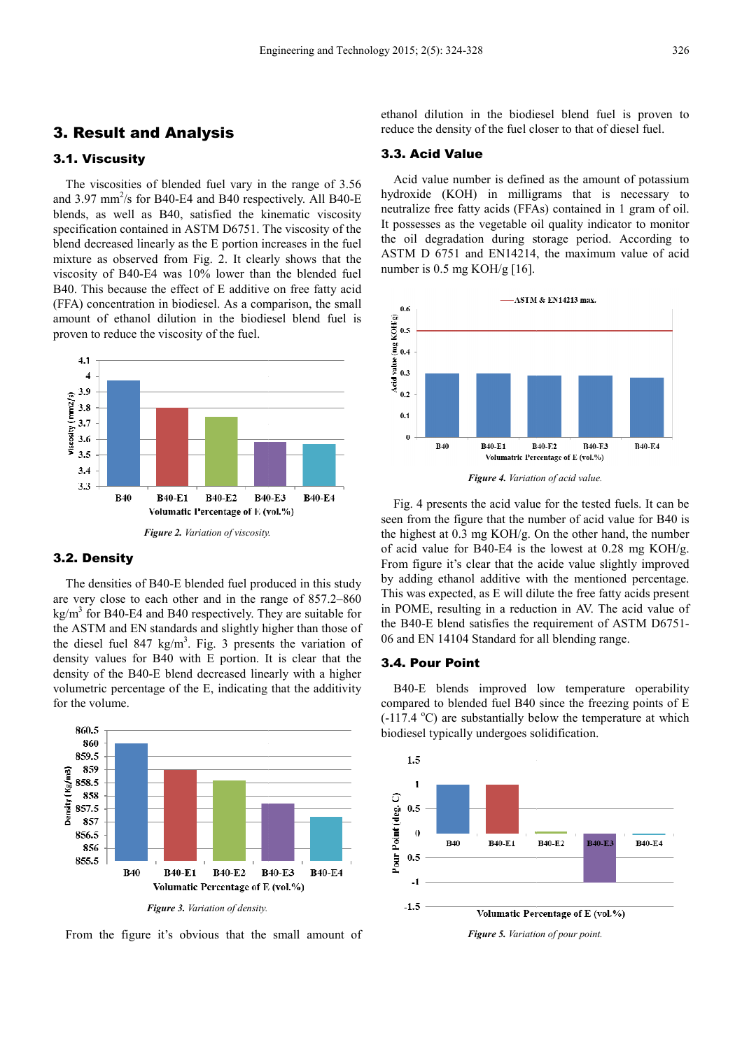### 3. Result and Analysis

#### 3.1. Viscusity

The viscosities of blended fuel vary in the range of 3.56 and  $3.97 \text{ mm}^2\text{/s}$  for B40-E4 and B40 respectively. All B40-E blends, as well as B40, satisfied the kinematic viscosity specification contained in ASTM D6751. The viscosity of the blend decreased linearly as the E portion increases in the fuel mixture as observed from Fig. 2. It clearly shows that the viscosity of B40-E4 was 10% lower than the blended fuel B40. This because the effect of E additive on free fatty acid (FFA) concentration in biodiesel. As a comparison, the small viscosity of B40-E4 was 10% lower than the blended fuel B40. This because the effect of E additive on free fatty acid (FFA) concentration in biodiesel. As a comparison, the small amount of ethanol dilution in the biodiesel proven to reduce the viscosity of the fuel.



*Figure 2. Variation of viscosity.*

#### 3.2. Density

The densities of B40-E blended fuel produced in this study The densities of B40-E blended fuel produced in this study are very close to each other and in the range of 857.2–860  $\text{kg/m}^3$  for B40-E4 and B40 respectively. They are suitable for the ASTM and EN standards and slightly higher than those of the diesel fuel 847 kg/m<sup>3</sup>. Fig. 3 presents the variation of density values for B40 with E portion. It is clear that the density of the B40-E blend decreased linearly with a higher volumetric percentage of the E, indicating that the additivity for the volume. nd B40 respectively. They are suitable for<br>standards and slightly higher than those of<br> $kg/m<sup>3</sup>$ . Fig. 3 presents the variation of<br>B40 with E portion. It is clear that the<br>E blend decreased linearly with a higher



From the figure it's obvious that the small amount of

ethanol dilution in the biodiesel blend fuel is proven to reduce the density of the fuel closer to that of diesel fuel.

#### 3.3. Acid Value

Acid value number is defined as the amount of potassium hydroxide (KOH) in milligrams that is necessary to neutralize free fatty acids (FFAs) contained in 1 gram of oil. It possesses as the vegetable oil quality indicator to monitor the oil degradation during storage period. According to ASTM D 6751 and EN14214, the maximum value of acid number is 0.5 mg KOH/g [16]. e oil quality indicator to monitor<br>g storage period. According to<br>214, the maximum value of acid



*Figure 4. Variation of acid value.*

Fig. 4 presents the acid value for the tested fuels. It can be seen from the figure that the number of acid value for B40 is the highest at 0.3 mg KOH/g. On the other hand, the number of acid value for B40-E4 is the lowest at 0.28 mg KOH/g. From figure it's clear that the acide value slightly improved by adding ethanol additive with the mentioned percentage. This was expected, as E will dilute the free fatty acids present in POME, resulting in a reduction in AV. The acid value of the B40-E blend satisfies the requirement of ASTM D6751-06 and EN 14104 Standard for all blending range.

#### 3.4. Pour Point

B40-E blends improved low temperature operability compared to blended fuel B40 since the freezing points of E B40-E blends improved low temperature operability compared to blended fuel B40 since the freezing points of E  $(-117.4 \text{ °C})$  are substantially below the temperature at which biodiesel typically undergoes solidification.



*Figure 5. Variation of pour point.*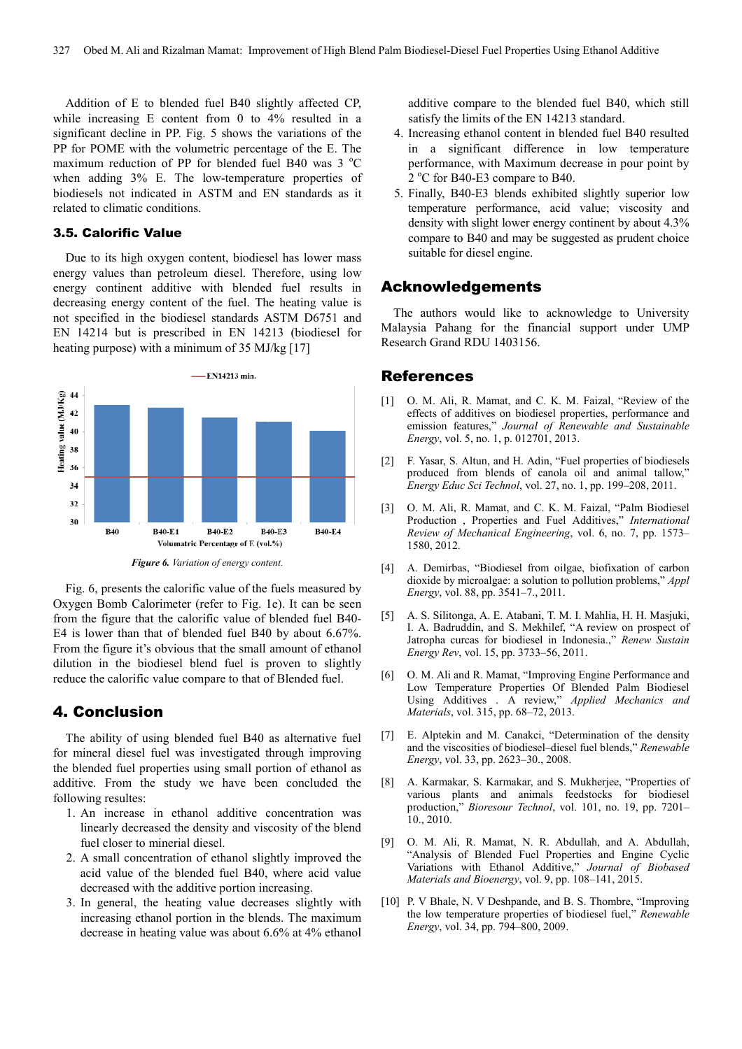Addition of E to blended fuel B40 slightly affected CP, while increasing E content from 0 to 4% resulted in a significant decline in PP. Fig. 5 shows the variations of the PP for POME with the volumetric percentage of the E. The maximum reduction of PP for blended fuel B40 was  $3^{\circ}$ C when adding 3% E. The low-temperature properties of biodiesels not indicated in ASTM and EN standards as it related to climatic conditions.

#### 3.5. Calorific Value

Due to its high oxygen content, biodiesel has lower mass energy values than petroleum diesel. Therefore, using low energy continent additive with blended fuel results in decreasing energy content of the fuel. The heating value is not specified in the biodiesel standards ASTM D6751 and EN 14214 but is prescribed in EN 14213 (biodiesel for heating purpose) with a minimum of 35 MJ/kg [17] 193% E. The low-temperature properties of<br>the indicated in ASTM and EN standards as it<br>imatic conditions.<br>**rific Value**<br>s high oxygen content, biodiesel has lower mass<br>es than petroleum diesel. Therefore, using low<br>tinent



Fig. 6, presents the calorific value of the fuels measured by Oxygen Bomb Calorimeter (refer to Fig. 1e). It can be seen from the figure that the calorific value of blended fuel B40 B40- E4 is lower than that of blended fuel B40 by about 6.67%. From the figure it's obvious that the small amount of ethanol dilution in the biodiesel blend fuel is proven to slightly reduce the calorific value compare to that of Blended fuel.

#### 4. Conclusion

The ability of using blended fuel B40 as alternative fuel for mineral diesel fuel was investigated through improving the blended fuel properties using small portion of ethanol as additive. From the study we have been concluded the following resultes: ution in the biodiesel blend fuel is proven to slightly<br>duce the calorific value compare to that of Blended fuel.<br>**Conclusion**<br>The ability of using blended fuel B40 as alternative fuel<br>rimieral diesel fuel was investigated

- 1. An increase in ethanol additive concentration was linearly decreased the density and viscosity of the blend fuel closer to minerial diesel. linearly decreased the density and viscosity of the blend<br>fuel closer to minerial diesel.<br>2. A small concentration of ethanol slightly improved the
- acid value of the blended fuel B40, where acid value decreased with the additive portion increasing.
- 3. In general, the heating value decreases slightly with increasing ethanol portion in the blends. The maximum decrease in heating value was about 6.6% at 4% ethanol

additive compare to the blended fuel B B40, which still satisfy the limits of the EN 14213 standard.

- 4. Increasing ethanol content in blended fuel B40 resulted in a significant difference in low temperature performance, with Maximum decrease in pour point by  $2^{\circ}$ C for B40-E3 compare to B40.
- 5. Finally, B40-E3 blends exhibited slightly superior low temperature performance, acid value; viscosity and density with slight lower energy continent by about 4.3% compare to B40 and may be suggested as prudent choice suitable for diesel engine.

### Acknowledgements

The authors would like to acknowledge to University Malaysia Pahang for the financial support under UMP Research Grand RDU 1403156.

## References

- [1] O. M. Ali, R. Mamat, and C. K. M. Faizal, "Review of the effects of additives on biodiesel properties, performance and emission features," *Journal of Renewable and Sustainable Energy*, vol. 5, no. 1, p. 012701, 2013.
- [2] F. Yasar, S. Altun, and H. Adin, "Fuel properties of biodiesels produced from blends of canola oil and animal tallow," *Energy Educ Sci Technol*, vol. 27, no. 1, pp. 199 199–208, 2011.
- [3] O. M. Ali, R. Mamat, and C. K. M. Faizal, "Palm Biodiesel Production , Properties and Fuel Additives," *International Review of Mechanical Engineering* , vol. 6, no. 7, pp. 1573– 1580, 2012.
- [4] A. Demirbas, "Biodiesel from oilgae, biofixation of carbon dioxide by microalgae: a solution to pollution problems," *Appl Energy*, vol. 88, pp. 3541-7., 2011.
- [5] A. S. Silitonga, A. E. Atabani, T. M. I. Mahlia, H. H. Masjuki, I. A. Badruddin, and S. Mekhilef, "A review on prospect of Jatropha curcas for biodiesel in Indonesia.," *Renew Sustain Energy Rev*, vol. 15, pp. 3733–56, 2011.
- [6] O. M. Ali and R. Mamat, "Improving Engine Performance and Low Temperature Properties Of Blended Palm Biodiesel Using Additives . A review," *Applied Mechanics and Materials*, vol. 315, pp. 68–72, 2013.
- [7] E. Alptekin and M. Canakci, "Determination of the density and the viscosities of biodiesel-diesel fuel blends," Renewable *Energy*, vol. 33, pp. 2623–30., 2008. 701. 315, pp. 68–72, 2013.<br>
and M. Canakci, "Determination of the density<br>
osities of biodiesel–diesel fuel blends," *Renewable*
- [8] A. Karmakar, S. Karmakar, and S. Mukherjee, "Properties of various plants and animals feedstocks for biodiesel production," *Bioresour Technol*, vol. 101, no. 19, pp. 7201-10., 2010. 30., 2008.<br>r, and S. Mukherjee, "Properties of<br>iimals feedstocks for biodiesel<br>*chnol*, vol. 101, no. 19, pp. 7201–
- [9] O. M. Ali, R. Mamat, N. R. Abdullah, and A. Abdullah, "Analysis of Blended Fuel Properties and Engine Cyclic Variations with Ethanol Additive," *Journal of Biobased Materials and Bioenergy*, vol. 9, pp. 108 108–141, 2015.
- [10] P. V Bhale, N. V Deshpande, and B. S. Thombre, "Improving the low temperature properties of biodiesel fuel," *Renewable Energy*, vol. 34, pp. 794–800, 2009. 800,